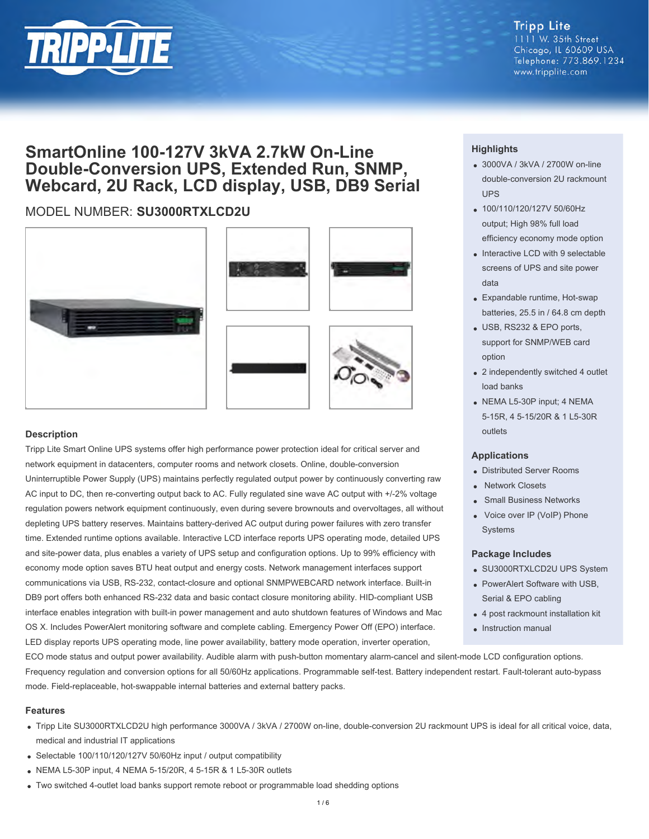

## **Tripp Lite**

1111 W. 35th Street Chicago, IL 60609 USA Telephone: 773.869.1234 www.tripplite.com

## **SmartOnline 100-127V 3kVA 2.7kW On-Line Double-Conversion UPS, Extended Run, SNMP, Webcard, 2U Rack, LCD display, USB, DB9 Serial**

### MODEL NUMBER: **SU3000RTXLCD2U**







#### **Description**

Tripp Lite Smart Online UPS systems offer high performance power protection ideal for critical server and network equipment in datacenters, computer rooms and network closets. Online, double-conversion Uninterruptible Power Supply (UPS) maintains perfectly regulated output power by continuously converting raw AC input to DC, then re-converting output back to AC. Fully regulated sine wave AC output with +/-2% voltage regulation powers network equipment continuously, even during severe brownouts and overvoltages, all without depleting UPS battery reserves. Maintains battery-derived AC output during power failures with zero transfer time. Extended runtime options available. Interactive LCD interface reports UPS operating mode, detailed UPS and site-power data, plus enables a variety of UPS setup and configuration options. Up to 99% efficiency with economy mode option saves BTU heat output and energy costs. Network management interfaces support communications via USB, RS-232, contact-closure and optional SNMPWEBCARD network interface. Built-in DB9 port offers both enhanced RS-232 data and basic contact closure monitoring ability. HID-compliant USB interface enables integration with built-in power management and auto shutdown features of Windows and Mac OS X. Includes PowerAlert monitoring software and complete cabling. Emergency Power Off (EPO) interface. LED display reports UPS operating mode, line power availability, battery mode operation, inverter operation,

#### **Highlights**

- 3000VA / 3kVA / 2700W on-line double-conversion 2U rackmount UPS
- 100/110/120/127V 50/60Hz output; High 98% full load efficiency economy mode option
- Interactive LCD with 9 selectable screens of UPS and site power data
- Expandable runtime, Hot-swap batteries, 25.5 in / 64.8 cm depth
- USB, RS232 & EPO ports, support for SNMP/WEB card option
- 2 independently switched 4 outlet load banks
- NEMA L5-30P input; 4 NEMA 5-15R, 4 5-15/20R & 1 L5-30R outlets

#### **Applications**

- Distributed Server Rooms
- **Network Closets**
- Small Business Networks
- Voice over IP (VoIP) Phone Systems

#### **Package Includes**

- SU3000RTXLCD2U UPS System
- PowerAlert Software with USB, Serial & EPO cabling
- 4 post rackmount installation kit
- Instruction manual

ECO mode status and output power availability. Audible alarm with push-button momentary alarm-cancel and silent-mode LCD configuration options. Frequency regulation and conversion options for all 50/60Hz applications. Programmable self-test. Battery independent restart. Fault-tolerant auto-bypass mode. Field-replaceable, hot-swappable internal batteries and external battery packs.

#### **Features**

- Tripp Lite SU3000RTXLCD2U high performance 3000VA / 3kVA / 2700W on-line, double-conversion 2U rackmount UPS is ideal for all critical voice, data, medical and industrial IT applications
- Selectable 100/110/120/127V 50/60Hz input / output compatibility
- NEMA L5-30P input, 4 NEMA 5-15/20R, 4 5-15R & 1 L5-30R outlets
- Two switched 4-outlet load banks support remote reboot or programmable load shedding options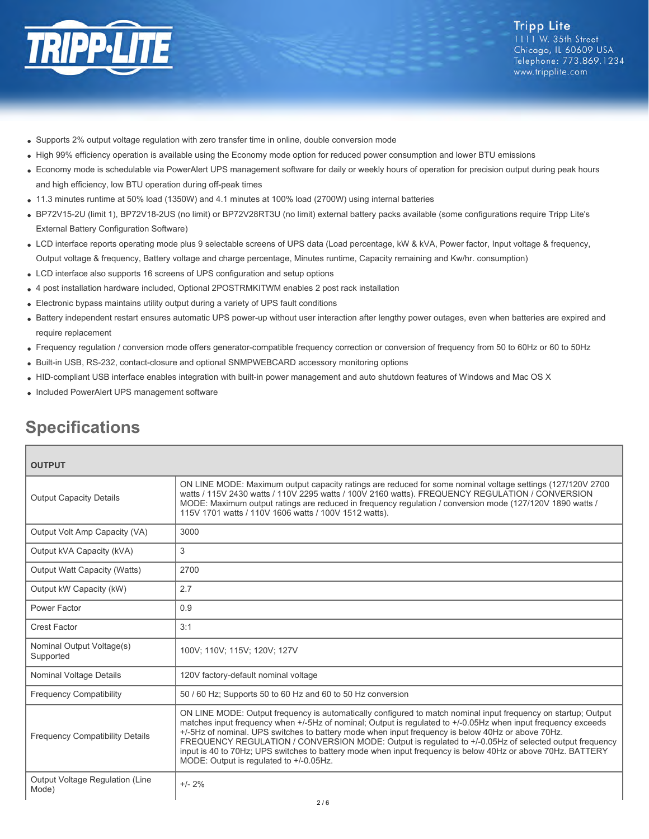

- Supports 2% output voltage regulation with zero transfer time in online, double conversion mode
- High 99% efficiency operation is available using the Economy mode option for reduced power consumption and lower BTU emissions
- Economy mode is schedulable via PowerAlert UPS management software for daily or weekly hours of operation for precision output during peak hours and high efficiency, low BTU operation during off-peak times
- 11.3 minutes runtime at 50% load (1350W) and 4.1 minutes at 100% load (2700W) using internal batteries
- BP72V15-2U (limit 1), BP72V18-2US (no limit) or BP72V28RT3U (no limit) external battery packs available (some configurations require Tripp Lite's External Battery Configuration Software)
- LCD interface reports operating mode plus 9 selectable screens of UPS data (Load percentage, kW & kVA, Power factor, Input voltage & frequency, Output voltage & frequency, Battery voltage and charge percentage, Minutes runtime, Capacity remaining and Kw/hr. consumption)
- LCD interface also supports 16 screens of UPS configuration and setup options
- 4 post installation hardware included, Optional 2POSTRMKITWM enables 2 post rack installation
- Electronic bypass maintains utility output during a variety of UPS fault conditions
- Battery independent restart ensures automatic UPS power-up without user interaction after lengthy power outages, even when batteries are expired and require replacement
- Frequency regulation / conversion mode offers generator-compatible frequency correction or conversion of frequency from 50 to 60Hz or 60 to 50Hz
- Built-in USB, RS-232, contact-closure and optional SNMPWEBCARD accessory monitoring options
- HID-compliant USB interface enables integration with built-in power management and auto shutdown features of Windows and Mac OS X
- Included PowerAlert UPS management software

# **Specifications**

| <b>OUTPUT</b>                            |                                                                                                                                                                                                                                                                                                                                                                                                                                                                                                                                                                                                         |
|------------------------------------------|---------------------------------------------------------------------------------------------------------------------------------------------------------------------------------------------------------------------------------------------------------------------------------------------------------------------------------------------------------------------------------------------------------------------------------------------------------------------------------------------------------------------------------------------------------------------------------------------------------|
| <b>Output Capacity Details</b>           | ON LINE MODE: Maximum output capacity ratings are reduced for some nominal voltage settings (127/120V 2700<br>watts / 115V 2430 watts / 110V 2295 watts / 100V 2160 watts). FREQUENCY REGULATION / CONVERSION<br>MODE: Maximum output ratings are reduced in frequency regulation / conversion mode (127/120V 1890 watts /<br>115V 1701 watts / 110V 1606 watts / 100V 1512 watts).                                                                                                                                                                                                                     |
| Output Volt Amp Capacity (VA)            | 3000                                                                                                                                                                                                                                                                                                                                                                                                                                                                                                                                                                                                    |
| Output kVA Capacity (kVA)                | 3                                                                                                                                                                                                                                                                                                                                                                                                                                                                                                                                                                                                       |
| Output Watt Capacity (Watts)             | 2700                                                                                                                                                                                                                                                                                                                                                                                                                                                                                                                                                                                                    |
| Output kW Capacity (kW)                  | 2.7                                                                                                                                                                                                                                                                                                                                                                                                                                                                                                                                                                                                     |
| Power Factor                             | 0.9                                                                                                                                                                                                                                                                                                                                                                                                                                                                                                                                                                                                     |
| <b>Crest Factor</b>                      | 3:1                                                                                                                                                                                                                                                                                                                                                                                                                                                                                                                                                                                                     |
| Nominal Output Voltage(s)<br>Supported   | 100V; 110V; 115V; 120V; 127V                                                                                                                                                                                                                                                                                                                                                                                                                                                                                                                                                                            |
| Nominal Voltage Details                  | 120V factory-default nominal voltage                                                                                                                                                                                                                                                                                                                                                                                                                                                                                                                                                                    |
| <b>Frequency Compatibility</b>           | 50 / 60 Hz; Supports 50 to 60 Hz and 60 to 50 Hz conversion                                                                                                                                                                                                                                                                                                                                                                                                                                                                                                                                             |
| <b>Frequency Compatibility Details</b>   | ON LINE MODE: Output frequency is automatically configured to match nominal input frequency on startup; Output<br>matches input frequency when +/-5Hz of nominal; Output is regulated to +/-0.05Hz when input frequency exceeds<br>+/-5Hz of nominal. UPS switches to battery mode when input frequency is below 40Hz or above 70Hz.<br>FREQUENCY REGULATION / CONVERSION MODE: Output is regulated to +/-0.05Hz of selected output frequency<br>input is 40 to 70Hz; UPS switches to battery mode when input frequency is below 40Hz or above 70Hz. BATTERY<br>MODE: Output is regulated to +/-0.05Hz. |
| Output Voltage Regulation (Line<br>Mode) | $+/- 2%$                                                                                                                                                                                                                                                                                                                                                                                                                                                                                                                                                                                                |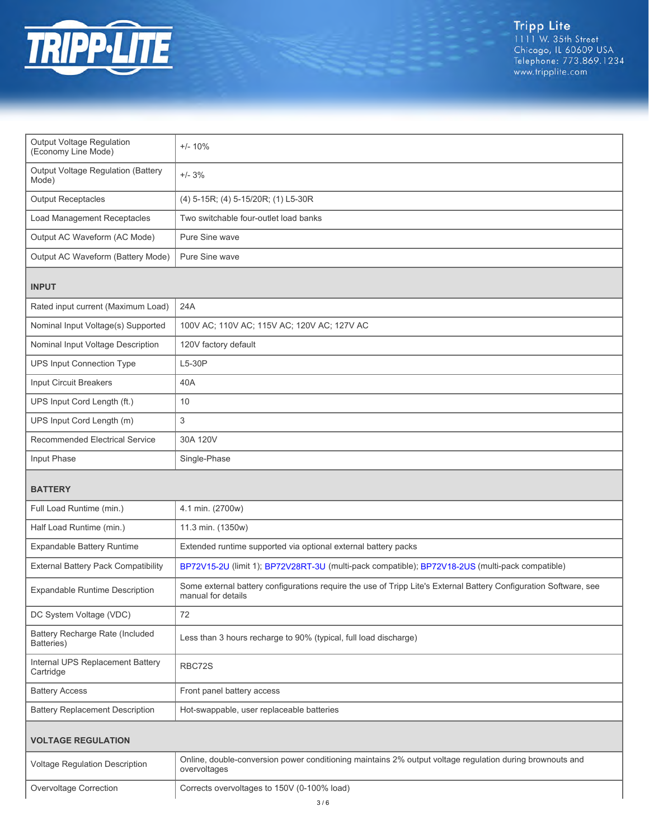

| Output Voltage Regulation<br>(Economy Line Mode)   | $+/- 10%$                                                                                                                               |  |
|----------------------------------------------------|-----------------------------------------------------------------------------------------------------------------------------------------|--|
| <b>Output Voltage Regulation (Battery</b><br>Mode) | $+/- 3%$                                                                                                                                |  |
| <b>Output Receptacles</b>                          | (4) 5-15R; (4) 5-15/20R; (1) L5-30R                                                                                                     |  |
| <b>Load Management Receptacles</b>                 | Two switchable four-outlet load banks                                                                                                   |  |
| Output AC Waveform (AC Mode)                       | Pure Sine wave                                                                                                                          |  |
| Output AC Waveform (Battery Mode)                  | Pure Sine wave                                                                                                                          |  |
| <b>INPUT</b>                                       |                                                                                                                                         |  |
| Rated input current (Maximum Load)                 | 24A                                                                                                                                     |  |
| Nominal Input Voltage(s) Supported                 | 100V AC; 110V AC; 115V AC; 120V AC; 127V AC                                                                                             |  |
| Nominal Input Voltage Description                  | 120V factory default                                                                                                                    |  |
| <b>UPS Input Connection Type</b>                   | $L5-30P$                                                                                                                                |  |
| Input Circuit Breakers                             | 40A                                                                                                                                     |  |
| UPS Input Cord Length (ft.)                        | 10                                                                                                                                      |  |
| UPS Input Cord Length (m)                          | 3                                                                                                                                       |  |
| <b>Recommended Electrical Service</b>              | 30A 120V                                                                                                                                |  |
| Input Phase                                        | Single-Phase                                                                                                                            |  |
| <b>BATTERY</b>                                     |                                                                                                                                         |  |
|                                                    |                                                                                                                                         |  |
| Full Load Runtime (min.)                           | 4.1 min. (2700w)                                                                                                                        |  |
| Half Load Runtime (min.)                           | 11.3 min. (1350w)                                                                                                                       |  |
| Expandable Battery Runtime                         | Extended runtime supported via optional external battery packs                                                                          |  |
| <b>External Battery Pack Compatibility</b>         | BP72V15-2U (limit 1); BP72V28RT-3U (multi-pack compatible); BP72V18-2US (multi-pack compatible)                                         |  |
| Expandable Runtime Description                     | Some external battery configurations require the use of Tripp Lite's External Battery Configuration Software, see<br>manual for details |  |
| DC System Voltage (VDC)                            | 72                                                                                                                                      |  |
| Battery Recharge Rate (Included<br>Batteries)      | Less than 3 hours recharge to 90% (typical, full load discharge)                                                                        |  |
| Internal UPS Replacement Battery<br>Cartridge      | RBC72S                                                                                                                                  |  |
| <b>Battery Access</b>                              | Front panel battery access                                                                                                              |  |
| <b>Battery Replacement Description</b>             | Hot-swappable, user replaceable batteries                                                                                               |  |
| <b>VOLTAGE REGULATION</b>                          |                                                                                                                                         |  |
| Voltage Regulation Description                     | Online, double-conversion power conditioning maintains 2% output voltage regulation during brownouts and<br>overvoltages                |  |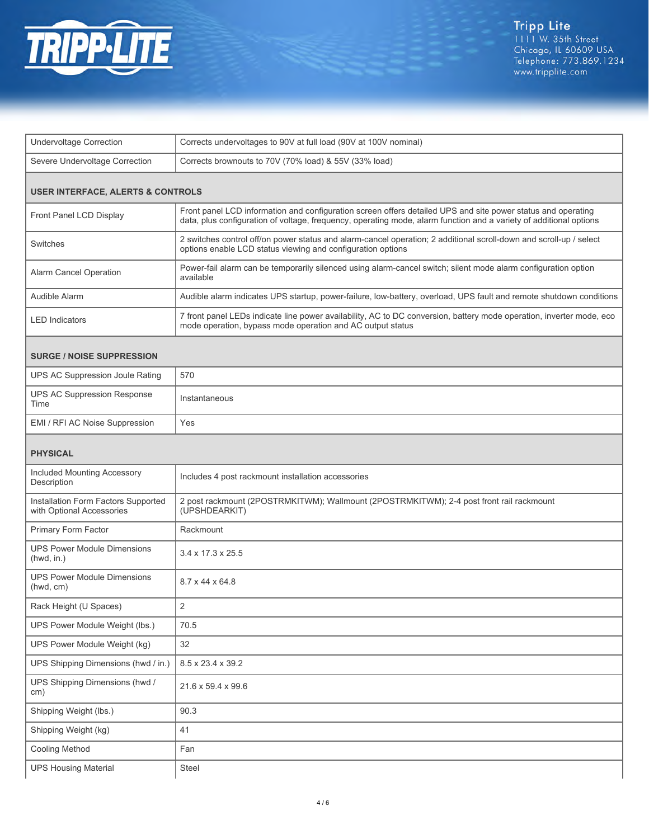

| <b>Undervoltage Correction</b>                                   | Corrects undervoltages to 90V at full load (90V at 100V nominal)                                                                                                                                                                   |  |  |
|------------------------------------------------------------------|------------------------------------------------------------------------------------------------------------------------------------------------------------------------------------------------------------------------------------|--|--|
| Severe Undervoltage Correction                                   | Corrects brownouts to 70V (70% load) & 55V (33% load)                                                                                                                                                                              |  |  |
| <b>USER INTERFACE, ALERTS &amp; CONTROLS</b>                     |                                                                                                                                                                                                                                    |  |  |
| Front Panel LCD Display                                          | Front panel LCD information and configuration screen offers detailed UPS and site power status and operating<br>data, plus configuration of voltage, frequency, operating mode, alarm function and a variety of additional options |  |  |
| Switches                                                         | 2 switches control off/on power status and alarm-cancel operation; 2 additional scroll-down and scroll-up / select<br>options enable LCD status viewing and configuration options                                                  |  |  |
| <b>Alarm Cancel Operation</b>                                    | Power-fail alarm can be temporarily silenced using alarm-cancel switch; silent mode alarm configuration option<br>available                                                                                                        |  |  |
| Audible Alarm                                                    | Audible alarm indicates UPS startup, power-failure, low-battery, overload, UPS fault and remote shutdown conditions                                                                                                                |  |  |
| <b>LED</b> Indicators                                            | 7 front panel LEDs indicate line power availability, AC to DC conversion, battery mode operation, inverter mode, eco<br>mode operation, bypass mode operation and AC output status                                                 |  |  |
| <b>SURGE / NOISE SUPPRESSION</b>                                 |                                                                                                                                                                                                                                    |  |  |
| UPS AC Suppression Joule Rating                                  | 570                                                                                                                                                                                                                                |  |  |
| <b>UPS AC Suppression Response</b><br>Time                       | Instantaneous                                                                                                                                                                                                                      |  |  |
| EMI / RFI AC Noise Suppression                                   | Yes                                                                                                                                                                                                                                |  |  |
| <b>PHYSICAL</b>                                                  |                                                                                                                                                                                                                                    |  |  |
| Included Mounting Accessory<br>Description                       | Includes 4 post rackmount installation accessories                                                                                                                                                                                 |  |  |
| Installation Form Factors Supported<br>with Optional Accessories | 2 post rackmount (2POSTRMKITWM); Wallmount (2POSTRMKITWM); 2-4 post front rail rackmount<br>(UPSHDEARKIT)                                                                                                                          |  |  |
| Primary Form Factor                                              | Rackmount                                                                                                                                                                                                                          |  |  |
| <b>UPS Power Module Dimensions</b><br>(hwd, in.)                 | $3.4 \times 17.3 \times 25.5$                                                                                                                                                                                                      |  |  |
| <b>UPS Power Module Dimensions</b><br>(hwd, cm)                  | 8.7 x 44 x 64.8                                                                                                                                                                                                                    |  |  |
| Rack Height (U Spaces)                                           | 2                                                                                                                                                                                                                                  |  |  |
| UPS Power Module Weight (lbs.)                                   | 70.5                                                                                                                                                                                                                               |  |  |
| UPS Power Module Weight (kg)                                     | 32                                                                                                                                                                                                                                 |  |  |
| UPS Shipping Dimensions (hwd / in.)                              | 8.5 x 23.4 x 39.2                                                                                                                                                                                                                  |  |  |
| UPS Shipping Dimensions (hwd /<br>cm)                            | 21.6 x 59.4 x 99.6                                                                                                                                                                                                                 |  |  |
| Shipping Weight (lbs.)                                           | 90.3                                                                                                                                                                                                                               |  |  |
| Shipping Weight (kg)                                             | 41                                                                                                                                                                                                                                 |  |  |
| <b>Cooling Method</b>                                            | Fan                                                                                                                                                                                                                                |  |  |
| <b>UPS Housing Material</b>                                      | Steel                                                                                                                                                                                                                              |  |  |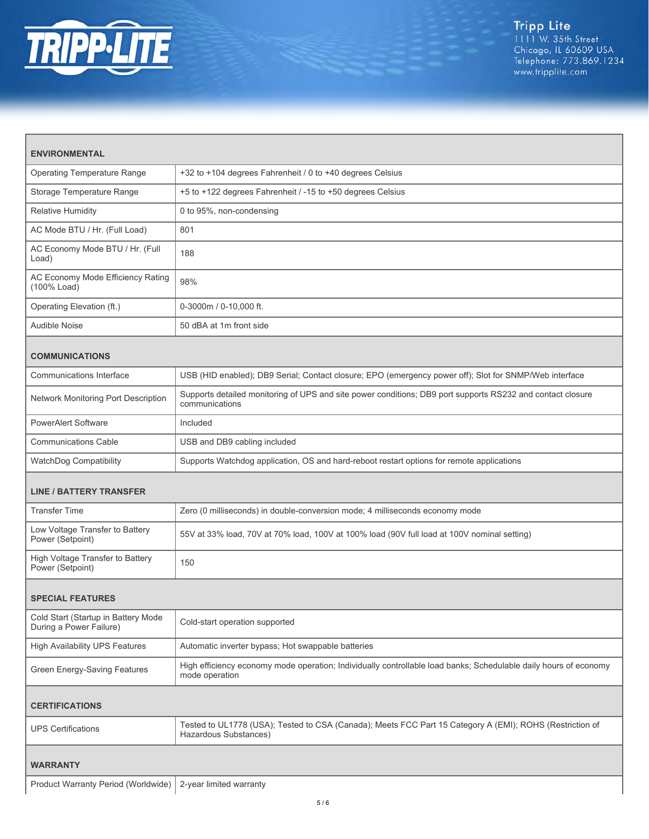

| <b>ENVIRONMENTAL</b>                                           |                                                                                                                                    |  |
|----------------------------------------------------------------|------------------------------------------------------------------------------------------------------------------------------------|--|
| <b>Operating Temperature Range</b>                             | +32 to +104 degrees Fahrenheit / 0 to +40 degrees Celsius                                                                          |  |
| Storage Temperature Range                                      | +5 to +122 degrees Fahrenheit / -15 to +50 degrees Celsius                                                                         |  |
| <b>Relative Humidity</b>                                       | 0 to 95%, non-condensing                                                                                                           |  |
| AC Mode BTU / Hr. (Full Load)                                  | 801                                                                                                                                |  |
| AC Economy Mode BTU / Hr. (Full<br>Load)                       | 188                                                                                                                                |  |
| AC Economy Mode Efficiency Rating<br>(100% Load)               | 98%                                                                                                                                |  |
| Operating Elevation (ft.)                                      | 0-3000m / 0-10,000 ft.                                                                                                             |  |
| Audible Noise                                                  | 50 dBA at 1m front side                                                                                                            |  |
| <b>COMMUNICATIONS</b>                                          |                                                                                                                                    |  |
| Communications Interface                                       | USB (HID enabled); DB9 Serial; Contact closure; EPO (emergency power off); Slot for SNMP/Web interface                             |  |
| Network Monitoring Port Description                            | Supports detailed monitoring of UPS and site power conditions; DB9 port supports RS232 and contact closure<br>communications       |  |
| <b>PowerAlert Software</b>                                     | Included                                                                                                                           |  |
| <b>Communications Cable</b>                                    | USB and DB9 cabling included                                                                                                       |  |
| WatchDog Compatibility                                         | Supports Watchdog application, OS and hard-reboot restart options for remote applications                                          |  |
| <b>LINE / BATTERY TRANSFER</b>                                 |                                                                                                                                    |  |
| <b>Transfer Time</b>                                           | Zero (0 milliseconds) in double-conversion mode; 4 milliseconds economy mode                                                       |  |
| Low Voltage Transfer to Battery<br>Power (Setpoint)            | 55V at 33% load, 70V at 70% load, 100V at 100% load (90V full load at 100V nominal setting)                                        |  |
| High Voltage Transfer to Battery<br>Power (Setpoint)           | 150                                                                                                                                |  |
| <b>SPECIAL FEATURES</b>                                        |                                                                                                                                    |  |
| Cold Start (Startup in Battery Mode<br>During a Power Failure) | Cold-start operation supported                                                                                                     |  |
| <b>High Availability UPS Features</b>                          | Automatic inverter bypass; Hot swappable batteries                                                                                 |  |
| Green Energy-Saving Features                                   | High efficiency economy mode operation; Individually controllable load banks; Schedulable daily hours of economy<br>mode operation |  |
| <b>CERTIFICATIONS</b>                                          |                                                                                                                                    |  |
| <b>UPS Certifications</b>                                      | Tested to UL1778 (USA); Tested to CSA (Canada); Meets FCC Part 15 Category A (EMI); ROHS (Restriction of<br>Hazardous Substances)  |  |
| WARRANTY                                                       |                                                                                                                                    |  |
| Product Warranty Period (Worldwide)                            | 2-year limited warranty                                                                                                            |  |